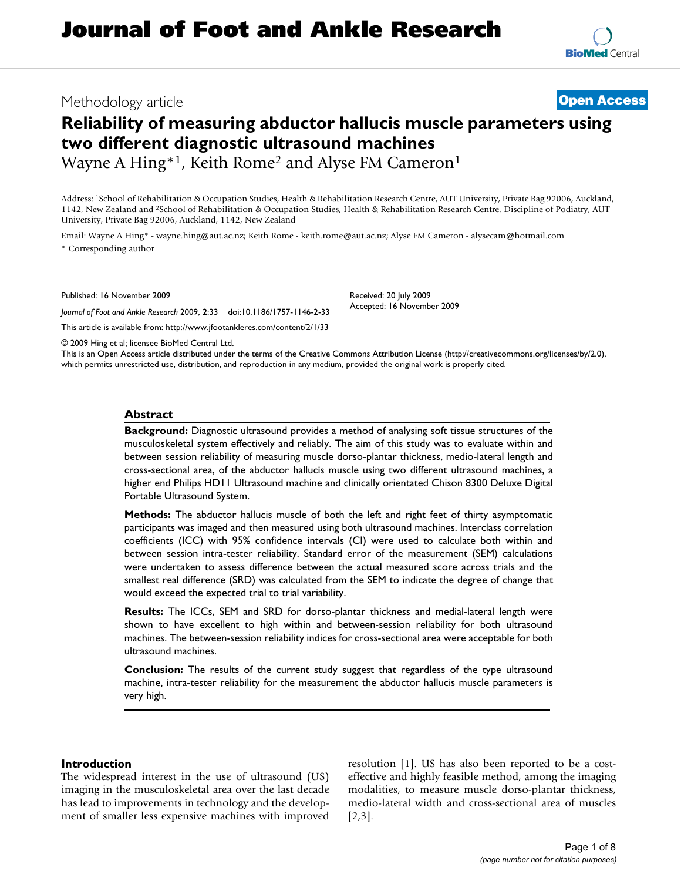# Methodology article **[Open Access](http://www.biomedcentral.com/info/about/charter/)**

# **Reliability of measuring abductor hallucis muscle parameters using two different diagnostic ultrasound machines**

Wayne A Hing<sup>\*1</sup>, Keith Rome<sup>2</sup> and Alyse FM Cameron<sup>1</sup>

Address: 1School of Rehabilitation & Occupation Studies, Health & Rehabilitation Research Centre, AUT University, Private Bag 92006, Auckland, 1142, New Zealand and 2School of Rehabilitation & Occupation Studies, Health & Rehabilitation Research Centre, Discipline of Podiatry, AUT University, Private Bag 92006, Auckland, 1142, New Zealand

Email: Wayne A Hing\* - wayne.hing@aut.ac.nz; Keith Rome - keith.rome@aut.ac.nz; Alyse FM Cameron - alysecam@hotmail.com \* Corresponding author

Published: 16 November 2009

*Journal of Foot and Ankle Research* 2009, **2**:33 doi:10.1186/1757-1146-2-33

[This article is available from: http://www.jfootankleres.com/content/2/1/33](http://www.jfootankleres.com/content/2/1/33)

© 2009 Hing et al; licensee BioMed Central Ltd.

This is an Open Access article distributed under the terms of the Creative Commons Attribution License [\(http://creativecommons.org/licenses/by/2.0\)](http://creativecommons.org/licenses/by/2.0), which permits unrestricted use, distribution, and reproduction in any medium, provided the original work is properly cited.

#### **Abstract**

**Background:** Diagnostic ultrasound provides a method of analysing soft tissue structures of the musculoskeletal system effectively and reliably. The aim of this study was to evaluate within and between session reliability of measuring muscle dorso-plantar thickness, medio-lateral length and cross-sectional area, of the abductor hallucis muscle using two different ultrasound machines, a higher end Philips HD11 Ultrasound machine and clinically orientated Chison 8300 Deluxe Digital Portable Ultrasound System.

**Methods:** The abductor hallucis muscle of both the left and right feet of thirty asymptomatic participants was imaged and then measured using both ultrasound machines. Interclass correlation coefficients (ICC) with 95% confidence intervals (CI) were used to calculate both within and between session intra-tester reliability. Standard error of the measurement (SEM) calculations were undertaken to assess difference between the actual measured score across trials and the smallest real difference (SRD) was calculated from the SEM to indicate the degree of change that would exceed the expected trial to trial variability.

**Results:** The ICCs, SEM and SRD for dorso-plantar thickness and medial-lateral length were shown to have excellent to high within and between-session reliability for both ultrasound machines. The between-session reliability indices for cross-sectional area were acceptable for both ultrasound machines.

**Conclusion:** The results of the current study suggest that regardless of the type ultrasound machine, intra-tester reliability for the measurement the abductor hallucis muscle parameters is very high.

#### **Introduction**

The widespread interest in the use of ultrasound (US) imaging in the musculoskeletal area over the last decade has lead to improvements in technology and the development of smaller less expensive machines with improved resolution [1]. US has also been reported to be a costeffective and highly feasible method, among the imaging modalities, to measure muscle dorso-plantar thickness, medio-lateral width and cross-sectional area of muscles [2,3].

Received: 20 July 2009 Accepted: 16 November 2009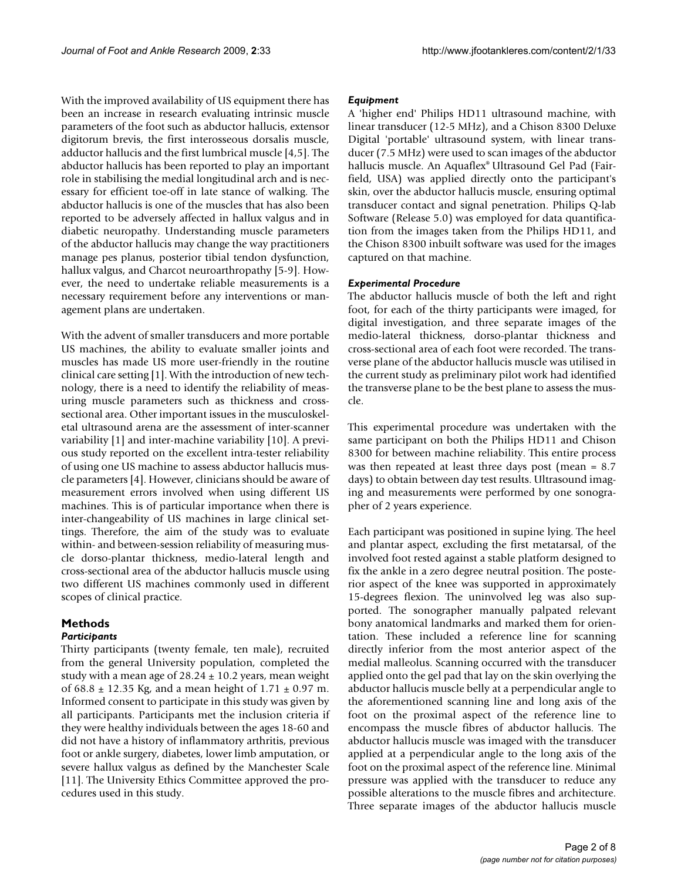With the improved availability of US equipment there has been an increase in research evaluating intrinsic muscle parameters of the foot such as abductor hallucis, extensor digitorum brevis, the first interosseous dorsalis muscle, adductor hallucis and the first lumbrical muscle [4,5]. The abductor hallucis has been reported to play an important role in stabilising the medial longitudinal arch and is necessary for efficient toe-off in late stance of walking. The abductor hallucis is one of the muscles that has also been reported to be adversely affected in hallux valgus and in diabetic neuropathy. Understanding muscle parameters of the abductor hallucis may change the way practitioners manage pes planus, posterior tibial tendon dysfunction, hallux valgus, and Charcot neuroarthropathy [5-9]. However, the need to undertake reliable measurements is a necessary requirement before any interventions or management plans are undertaken.

With the advent of smaller transducers and more portable US machines, the ability to evaluate smaller joints and muscles has made US more user-friendly in the routine clinical care setting [1]. With the introduction of new technology, there is a need to identify the reliability of measuring muscle parameters such as thickness and crosssectional area. Other important issues in the musculoskeletal ultrasound arena are the assessment of inter-scanner variability [1] and inter-machine variability [10]. A previous study reported on the excellent intra-tester reliability of using one US machine to assess abductor hallucis muscle parameters [4]. However, clinicians should be aware of measurement errors involved when using different US machines. This is of particular importance when there is inter-changeability of US machines in large clinical settings. Therefore, the aim of the study was to evaluate within- and between-session reliability of measuring muscle dorso-plantar thickness, medio-lateral length and cross-sectional area of the abductor hallucis muscle using two different US machines commonly used in different scopes of clinical practice.

# **Methods**

#### *Participants*

Thirty participants (twenty female, ten male), recruited from the general University population, completed the study with a mean age of  $28.24 \pm 10.2$  years, mean weight of 68.8  $\pm$  12.35 Kg, and a mean height of 1.71  $\pm$  0.97 m. Informed consent to participate in this study was given by all participants. Participants met the inclusion criteria if they were healthy individuals between the ages 18-60 and did not have a history of inflammatory arthritis, previous foot or ankle surgery, diabetes, lower limb amputation, or severe hallux valgus as defined by the Manchester Scale [11]. The University Ethics Committee approved the procedures used in this study.

#### *Equipment*

A 'higher end' Philips HD11 ultrasound machine, with linear transducer (12-5 MHz), and a Chison 8300 Deluxe Digital 'portable' ultrasound system, with linear transducer (7.5 MHz) were used to scan images of the abductor hallucis muscle. An Aquaflex® Ultrasound Gel Pad (Fairfield, USA) was applied directly onto the participant's skin, over the abductor hallucis muscle, ensuring optimal transducer contact and signal penetration. Philips Q-lab Software (Release 5.0) was employed for data quantification from the images taken from the Philips HD11, and the Chison 8300 inbuilt software was used for the images captured on that machine.

#### *Experimental Procedure*

The abductor hallucis muscle of both the left and right foot, for each of the thirty participants were imaged, for digital investigation, and three separate images of the medio-lateral thickness, dorso-plantar thickness and cross-sectional area of each foot were recorded. The transverse plane of the abductor hallucis muscle was utilised in the current study as preliminary pilot work had identified the transverse plane to be the best plane to assess the muscle.

This experimental procedure was undertaken with the same participant on both the Philips HD11 and Chison 8300 for between machine reliability. This entire process was then repeated at least three days post (mean = 8.7 days) to obtain between day test results. Ultrasound imaging and measurements were performed by one sonographer of 2 years experience.

Each participant was positioned in supine lying. The heel and plantar aspect, excluding the first metatarsal, of the involved foot rested against a stable platform designed to fix the ankle in a zero degree neutral position. The posterior aspect of the knee was supported in approximately 15-degrees flexion. The uninvolved leg was also supported. The sonographer manually palpated relevant bony anatomical landmarks and marked them for orientation. These included a reference line for scanning directly inferior from the most anterior aspect of the medial malleolus. Scanning occurred with the transducer applied onto the gel pad that lay on the skin overlying the abductor hallucis muscle belly at a perpendicular angle to the aforementioned scanning line and long axis of the foot on the proximal aspect of the reference line to encompass the muscle fibres of abductor hallucis. The abductor hallucis muscle was imaged with the transducer applied at a perpendicular angle to the long axis of the foot on the proximal aspect of the reference line. Minimal pressure was applied with the transducer to reduce any possible alterations to the muscle fibres and architecture. Three separate images of the abductor hallucis muscle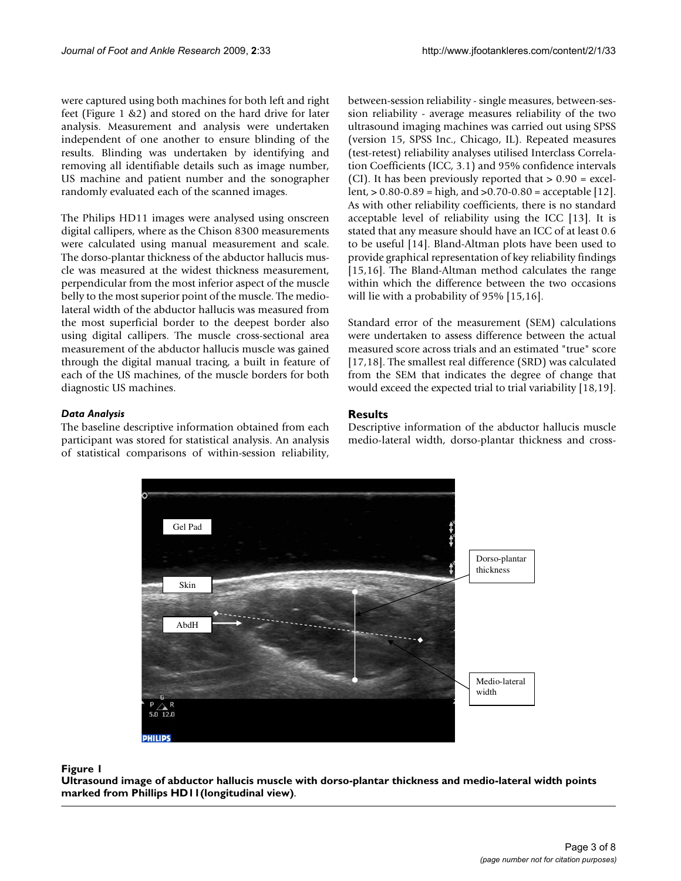were captured using both machines for both left and right feet (Figure 1 &2) and stored on the hard drive for later analysis. Measurement and analysis were undertaken independent of one another to ensure blinding of the results. Blinding was undertaken by identifying and removing all identifiable details such as image number, US machine and patient number and the sonographer randomly evaluated each of the scanned images.

The Philips HD11 images were analysed using onscreen digital callipers, where as the Chison 8300 measurements were calculated using manual measurement and scale. The dorso-plantar thickness of the abductor hallucis muscle was measured at the widest thickness measurement, perpendicular from the most inferior aspect of the muscle belly to the most superior point of the muscle. The mediolateral width of the abductor hallucis was measured from the most superficial border to the deepest border also using digital callipers. The muscle cross-sectional area measurement of the abductor hallucis muscle was gained through the digital manual tracing, a built in feature of each of the US machines, of the muscle borders for both diagnostic US machines.

between-session reliability - single measures, between-session reliability - average measures reliability of the two ultrasound imaging machines was carried out using SPSS (version 15, SPSS Inc., Chicago, IL). Repeated measures (test-retest) reliability analyses utilised Interclass Correlation Coefficients (ICC, 3.1) and 95% confidence intervals (CI). It has been previously reported that > 0.90 = excellent, > 0.80-0.89 = high, and >0.70-0.80 = acceptable [12]. As with other reliability coefficients, there is no standard acceptable level of reliability using the ICC [13]. It is stated that any measure should have an ICC of at least 0.6 to be useful [14]. Bland-Altman plots have been used to provide graphical representation of key reliability findings [15,16]. The Bland-Altman method calculates the range within which the difference between the two occasions will lie with a probability of 95% [15,16].

Standard error of the measurement (SEM) calculations were undertaken to assess difference between the actual measured score across trials and an estimated "true" score [17,18]. The smallest real difference (SRD) was calculated from the SEM that indicates the degree of change that would exceed the expected trial to trial variability [18,19].

## *Data Analysis*

The baseline descriptive information obtained from each participant was stored for statistical analysis. An analysis of statistical comparisons of within-session reliability,

#### **Results**

Descriptive information of the abductor hallucis muscle medio-lateral width, dorso-plantar thickness and cross-



# Ultrasound image of abductor hallucis musc HD11(longitudinal view) **Figure 1** le with dorso-plantar thickness and medio-lateral width points marked from Phillips

**Ultrasound image of abductor hallucis muscle with dorso-plantar thickness and medio-lateral width points marked from Phillips HD11(longitudinal view)**.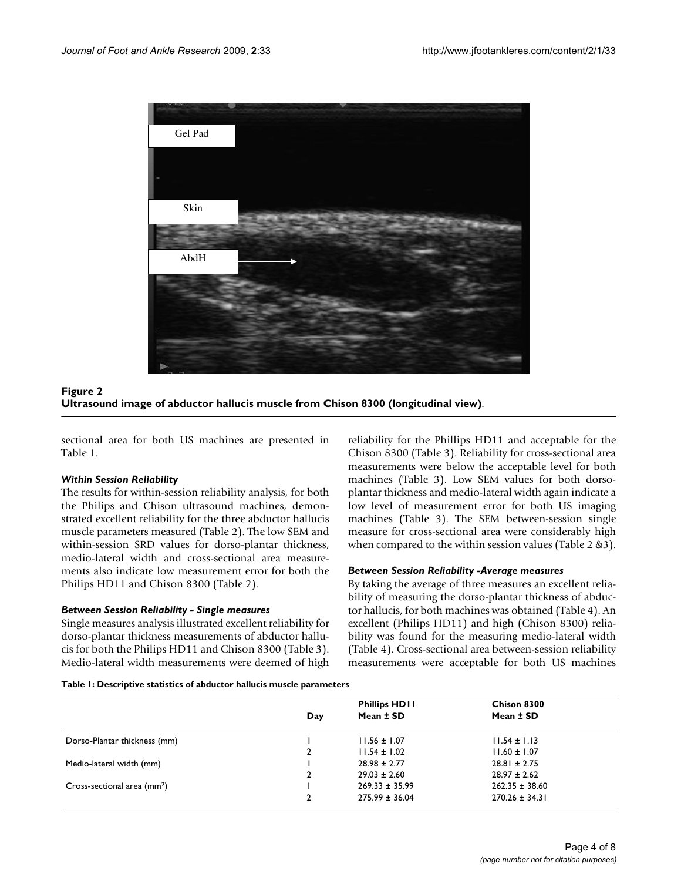



sectional area for both US machines are presented in Table 1.

### *Within Session Reliability*

The results for within-session reliability analysis, for both the Philips and Chison ultrasound machines, demonstrated excellent reliability for the three abductor hallucis muscle parameters measured (Table 2). The low SEM and within-session SRD values for dorso-plantar thickness, medio-lateral width and cross-sectional area measurements also indicate low measurement error for both the Philips HD11 and Chison 8300 (Table 2).

### *Between Session Reliability - Single measures*

Single measures analysis illustrated excellent reliability for dorso-plantar thickness measurements of abductor hallucis for both the Philips HD11 and Chison 8300 (Table 3). Medio-lateral width measurements were deemed of high reliability for the Phillips HD11 and acceptable for the Chison 8300 (Table 3). Reliability for cross-sectional area measurements were below the acceptable level for both machines (Table 3). Low SEM values for both dorsoplantar thickness and medio-lateral width again indicate a low level of measurement error for both US imaging machines (Table 3). The SEM between-session single measure for cross-sectional area were considerably high when compared to the within session values (Table 2 &3).

# *Between Session Reliability -Average measures*

By taking the average of three measures an excellent reliability of measuring the dorso-plantar thickness of abductor hallucis, for both machines was obtained (Table 4). An excellent (Philips HD11) and high (Chison 8300) reliability was found for the measuring medio-lateral width (Table 4). Cross-sectional area between-session reliability measurements were acceptable for both US machines

**Table 1: Descriptive statistics of abductor hallucis muscle parameters**

|                                         |     | <b>Phillips HDII</b> | Chison 8300        |
|-----------------------------------------|-----|----------------------|--------------------|
|                                         | Day | Mean ± SD            | Mean ± SD          |
| Dorso-Plantar thickness (mm)            |     | $11.56 \pm 1.07$     | $11.54 \pm 1.13$   |
|                                         | 2   | $11.54 \pm 1.02$     | $11.60 \pm 1.07$   |
| Medio-lateral width (mm)                |     | $28.98 \pm 2.77$     | $28.81 \pm 2.75$   |
|                                         | 2   | $29.03 \pm 2.60$     | $28.97 \pm 2.62$   |
| Cross-sectional area (mm <sup>2</sup> ) |     | $269.33 \pm 35.99$   | $262.35 \pm 38.60$ |
|                                         | າ   | $275.99 \pm 36.04$   | $270.26 \pm 34.31$ |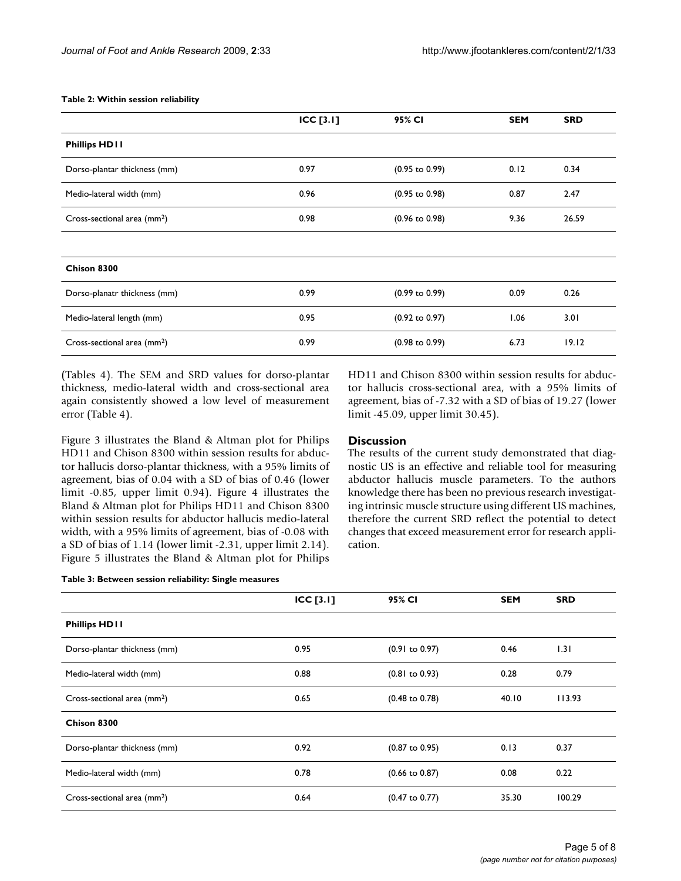#### **Table 2: Within session reliability**

|                                         | ICC <sub>[3.1]</sub> | 95% CI                    | <b>SEM</b> | <b>SRD</b> |
|-----------------------------------------|----------------------|---------------------------|------------|------------|
| <b>Phillips HDII</b>                    |                      |                           |            |            |
| Dorso-plantar thickness (mm)            | 0.97                 | $(0.95$ to $0.99)$        | 0.12       | 0.34       |
| Medio-lateral width (mm)                | 0.96                 | $(0.95 \text{ to } 0.98)$ | 0.87       | 2.47       |
| Cross-sectional area (mm <sup>2</sup> ) | 0.98                 | $(0.96 \text{ to } 0.98)$ | 9.36       | 26.59      |
|                                         |                      |                           |            |            |
| Chison 8300                             |                      |                           |            |            |
| Dorso-planatr thickness (mm)            | 0.99                 | $(0.99$ to $0.99)$        | 0.09       | 0.26       |
| Medio-lateral length (mm)               | 0.95                 | $(0.92 \text{ to } 0.97)$ | 1.06       | 3.01       |
| Cross-sectional area (mm <sup>2</sup> ) | 0.99                 | $(0.98 \text{ to } 0.99)$ | 6.73       | 19.12      |

(Tables 4). The SEM and SRD values for dorso-plantar thickness, medio-lateral width and cross-sectional area again consistently showed a low level of measurement error (Table 4).

Figure 3 illustrates the Bland & Altman plot for Philips HD11 and Chison 8300 within session results for abductor hallucis dorso-plantar thickness, with a 95% limits of agreement, bias of 0.04 with a SD of bias of 0.46 (lower limit -0.85, upper limit 0.94). Figure 4 illustrates the Bland & Altman plot for Philips HD11 and Chison 8300 within session results for abductor hallucis medio-lateral width, with a 95% limits of agreement, bias of -0.08 with a SD of bias of 1.14 (lower limit -2.31, upper limit 2.14). Figure 5 illustrates the Bland & Altman plot for Philips

**Table 3: Between session reliability: Single measures**

HD11 and Chison 8300 within session results for abductor hallucis cross-sectional area, with a 95% limits of agreement, bias of -7.32 with a SD of bias of 19.27 (lower limit -45.09, upper limit 30.45).

### **Discussion**

The results of the current study demonstrated that diagnostic US is an effective and reliable tool for measuring abductor hallucis muscle parameters. To the authors knowledge there has been no previous research investigating intrinsic muscle structure using different US machines, therefore the current SRD reflect the potential to detect changes that exceed measurement error for research application.

|                                         | ICC <sub>[3.1]</sub> | 95% CI                    | <b>SEM</b> | <b>SRD</b> |
|-----------------------------------------|----------------------|---------------------------|------------|------------|
| <b>Phillips HDII</b>                    |                      |                           |            |            |
| Dorso-plantar thickness (mm)            | 0.95                 | $(0.91$ to $0.97)$        | 0.46       | 1.31       |
| Medio-lateral width (mm)                | 0.88                 | $(0.81$ to $0.93)$        | 0.28       | 0.79       |
| Cross-sectional area (mm <sup>2</sup> ) | 0.65                 | $(0.48 \text{ to } 0.78)$ | 40.10      | 113.93     |
| Chison 8300                             |                      |                           |            |            |
| Dorso-plantar thickness (mm)            | 0.92                 | $(0.87 \text{ to } 0.95)$ | 0.13       | 0.37       |
| Medio-lateral width (mm)                | 0.78                 | $(0.66 \text{ to } 0.87)$ | 0.08       | 0.22       |
| Cross-sectional area (mm <sup>2</sup> ) | 0.64                 | $(0.47 \text{ to } 0.77)$ | 35.30      | 100.29     |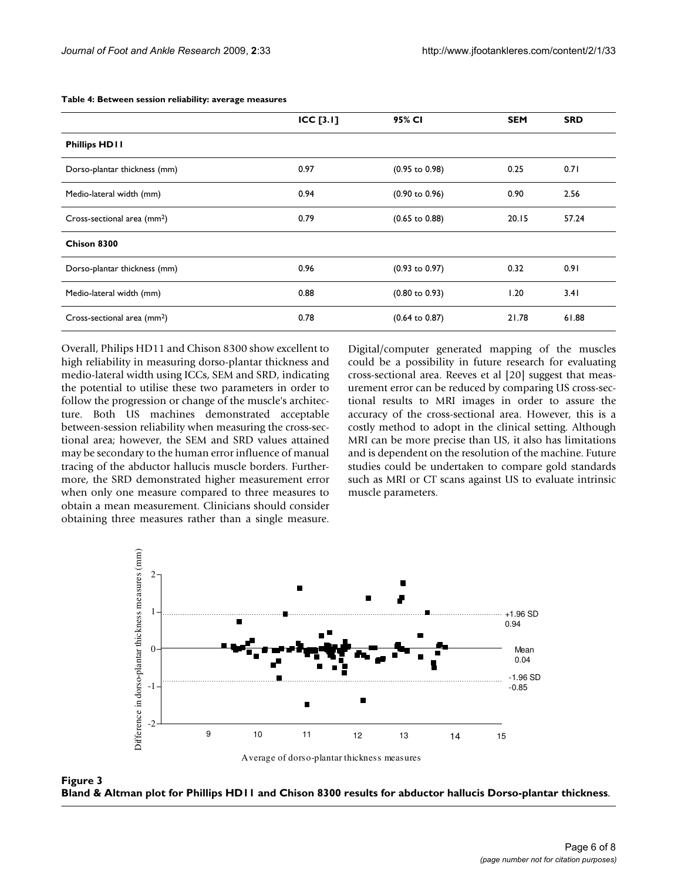|                                         | ICC <sub>[3.1]</sub> | 95% CI                    | <b>SEM</b> | <b>SRD</b> |
|-----------------------------------------|----------------------|---------------------------|------------|------------|
| <b>Phillips HDII</b>                    |                      |                           |            |            |
| Dorso-plantar thickness (mm)            | 0.97                 | $(0.95 \text{ to } 0.98)$ | 0.25       | 0.71       |
| Medio-lateral width (mm)                | 0.94                 | $(0.90 \text{ to } 0.96)$ | 0.90       | 2.56       |
| Cross-sectional area (mm <sup>2</sup> ) | 0.79                 | $(0.65 \text{ to } 0.88)$ | 20.15      | 57.24      |
| Chison 8300                             |                      |                           |            |            |
| Dorso-plantar thickness (mm)            | 0.96                 | $(0.93$ to $0.97)$        | 0.32       | 0.91       |
| Medio-lateral width (mm)                | 0.88                 | $(0.80 \text{ to } 0.93)$ | 1.20       | 3.41       |
| Cross-sectional area (mm <sup>2</sup> ) | 0.78                 | $(0.64 \text{ to } 0.87)$ | 21.78      | 61.88      |

#### **Table 4: Between session reliability: average measures**

Overall, Philips HD11 and Chison 8300 show excellent to high reliability in measuring dorso-plantar thickness and medio-lateral width using ICCs, SEM and SRD, indicating the potential to utilise these two parameters in order to follow the progression or change of the muscle's architecture. Both US machines demonstrated acceptable between-session reliability when measuring the cross-sectional area; however, the SEM and SRD values attained may be secondary to the human error influence of manual tracing of the abductor hallucis muscle borders. Furthermore, the SRD demonstrated higher measurement error when only one measure compared to three measures to obtain a mean measurement. Clinicians should consider obtaining three measures rather than a single measure.

Digital/computer generated mapping of the muscles could be a possibility in future research for evaluating cross-sectional area. Reeves et al [20] suggest that measurement error can be reduced by comparing US cross-sectional results to MRI images in order to assure the accuracy of the cross-sectional area. However, this is a costly method to adopt in the clinical setting. Although MRI can be more precise than US, it also has limitations and is dependent on the resolution of the machine. Future studies could be undertaken to compare gold standards such as MRI or CT scans against US to evaluate intrinsic muscle parameters.



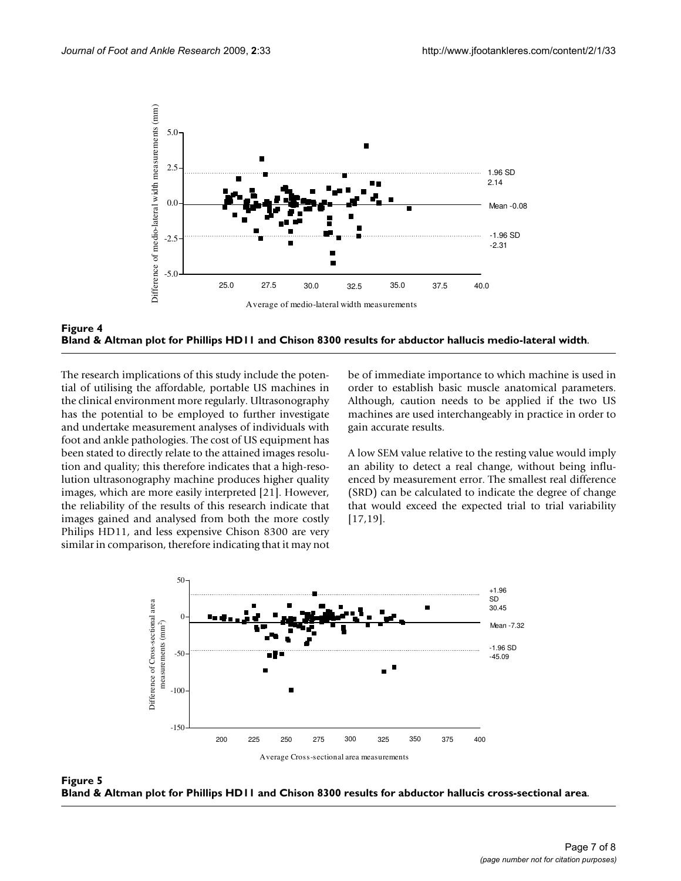



The research implications of this study include the potential of utilising the affordable, portable US machines in the clinical environment more regularly. Ultrasonography has the potential to be employed to further investigate and undertake measurement analyses of individuals with foot and ankle pathologies. The cost of US equipment has been stated to directly relate to the attained images resolution and quality; this therefore indicates that a high-resolution ultrasonography machine produces higher quality images, which are more easily interpreted [21]. However, the reliability of the results of this research indicate that images gained and analysed from both the more costly Philips HD11, and less expensive Chison 8300 are very similar in comparison, therefore indicating that it may not be of immediate importance to which machine is used in order to establish basic muscle anatomical parameters. Although, caution needs to be applied if the two US machines are used interchangeably in practice in order to gain accurate results.

A low SEM value relative to the resting value would imply an ability to detect a real change, without being influenced by measurement error. The smallest real difference (SRD) can be calculated to indicate the degree of change that would exceed the expected trial to trial variability [17,19].